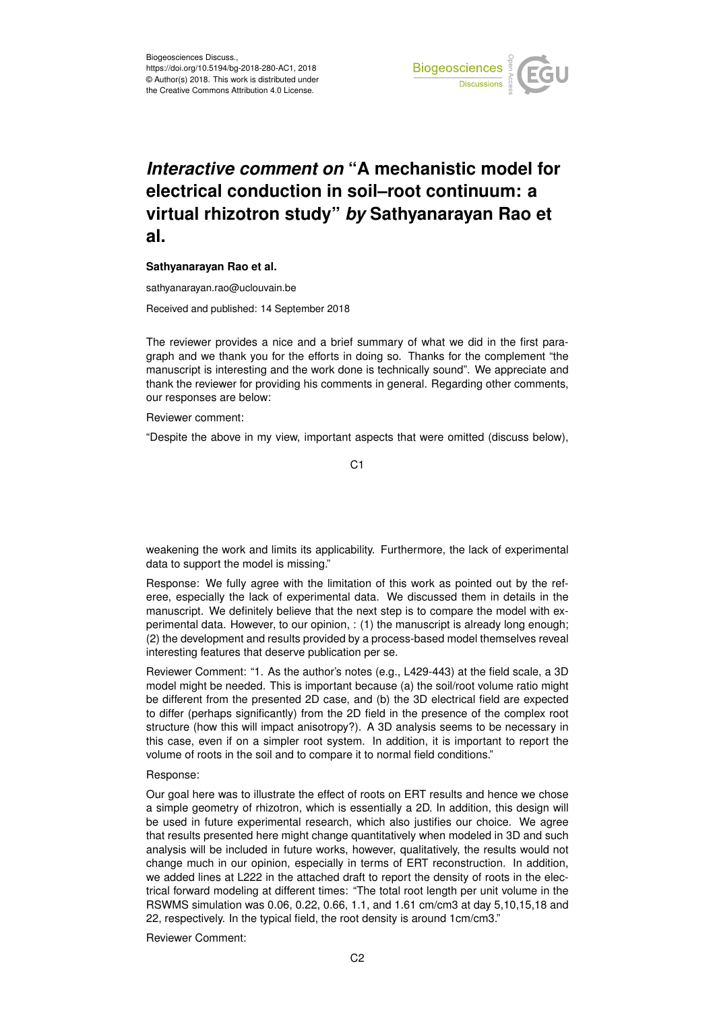

## *Interactive comment on* **"A mechanistic model for electrical conduction in soil–root continuum: a virtual rhizotron study"** *by* **Sathyanarayan Rao et al.**

## **Sathyanarayan Rao et al.**

sathyanarayan.rao@uclouvain.be

Received and published: 14 September 2018

The reviewer provides a nice and a brief summary of what we did in the first paragraph and we thank you for the efforts in doing so. Thanks for the complement "the manuscript is interesting and the work done is technically sound". We appreciate and thank the reviewer for providing his comments in general. Regarding other comments, our responses are below:

Reviewer comment:

"Despite the above in my view, important aspects that were omitted (discuss below),

C1

weakening the work and limits its applicability. Furthermore, the lack of experimental data to support the model is missing."

Response: We fully agree with the limitation of this work as pointed out by the referee, especially the lack of experimental data. We discussed them in details in the manuscript. We definitely believe that the next step is to compare the model with experimental data. However, to our opinion, : (1) the manuscript is already long enough; (2) the development and results provided by a process-based model themselves reveal interesting features that deserve publication per se.

Reviewer Comment: "1. As the author's notes (e.g., L429-443) at the field scale, a 3D model might be needed. This is important because (a) the soil/root volume ratio might be different from the presented 2D case, and (b) the 3D electrical field are expected to differ (perhaps significantly) from the 2D field in the presence of the complex root structure (how this will impact anisotropy?). A 3D analysis seems to be necessary in this case, even if on a simpler root system. In addition, it is important to report the volume of roots in the soil and to compare it to normal field conditions."

Response:

Our goal here was to illustrate the effect of roots on ERT results and hence we chose a simple geometry of rhizotron, which is essentially a 2D. In addition, this design will be used in future experimental research, which also justifies our choice. We agree that results presented here might change quantitatively when modeled in 3D and such analysis will be included in future works, however, qualitatively, the results would not change much in our opinion, especially in terms of ERT reconstruction. In addition, we added lines at L222 in the attached draft to report the density of roots in the electrical forward modeling at different times: "The total root length per unit volume in the RSWMS simulation was 0.06, 0.22, 0.66, 1.1, and 1.61 cm/cm3 at day 5,10,15,18 and 22, respectively. In the typical field, the root density is around 1cm/cm3."

Reviewer Comment: